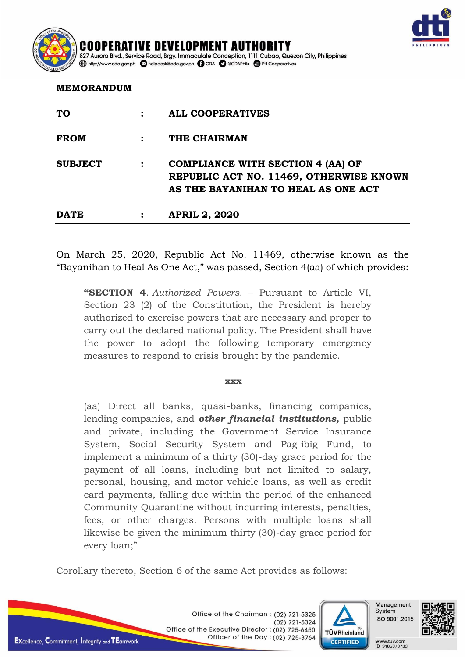

## **MEMORANDUM**

| <b>DATE</b>    | <b>APRIL 2, 2020</b>                                                           |
|----------------|--------------------------------------------------------------------------------|
|                | REPUBLIC ACT NO. 11469, OTHERWISE KNOWN<br>AS THE BAYANIHAN TO HEAL AS ONE ACT |
| <b>SUBJECT</b> | <b>COMPLIANCE WITH SECTION 4 (AA) OF</b>                                       |
| <b>FROM</b>    | THE CHAIRMAN                                                                   |
| <b>TO</b>      | <b>ALL COOPERATIVES</b>                                                        |

On March 25, 2020, Republic Act No. 11469, otherwise known as the "Bayanihan to Heal As One Act," was passed, Section 4(aa) of which provides:

**"SECTION 4**. *Authorized Powers*. – Pursuant to Article VI, Section 23 (2) of the Constitution, the President is hereby authorized to exercise powers that are necessary and proper to carry out the declared national policy. The President shall have the power to adopt the following temporary emergency measures to respond to crisis brought by the pandemic.

## **xxx**

(aa) Direct all banks, quasi-banks, financing companies, lending companies, and *other financial institutions,* public and private, including the Government Service Insurance System, Social Security System and Pag-ibig Fund, to implement a minimum of a thirty (30)-day grace period for the payment of all loans, including but not limited to salary, personal, housing, and motor vehicle loans, as well as credit card payments, falling due within the period of the enhanced Community Quarantine without incurring interests, penalties, fees, or other charges. Persons with multiple loans shall likewise be given the minimum thirty (30)-day grace period for every loan;"

Corollary thereto, Section 6 of the same Act provides as follows:



Management System ISO 9001:2015

WWW.tuv.com ID 9105070733